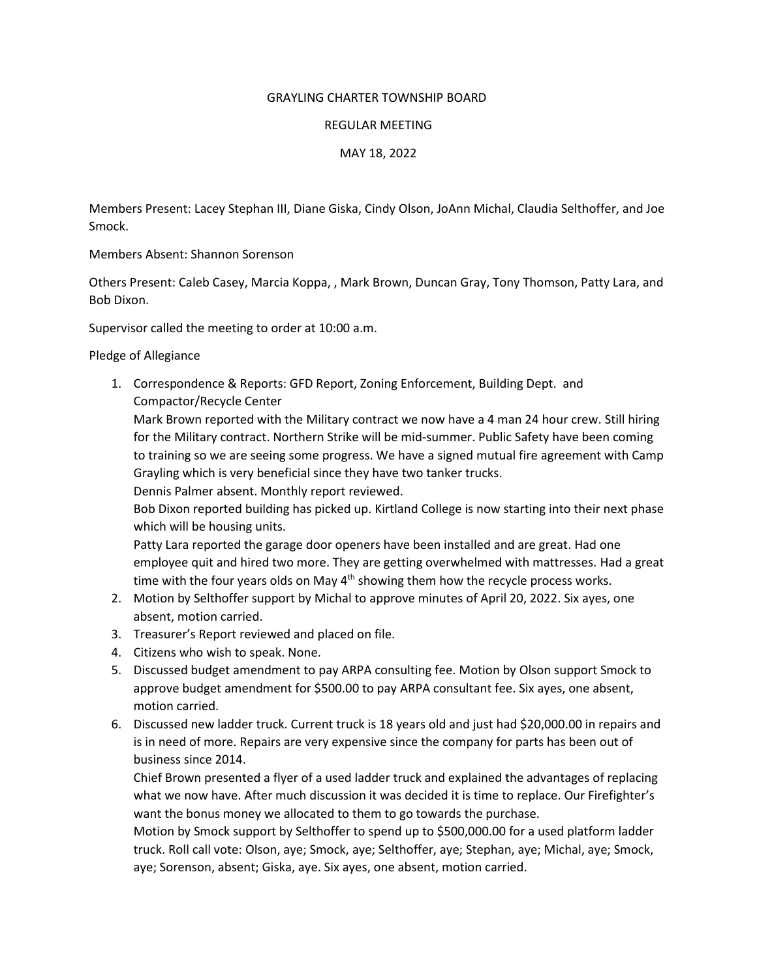## GRAYLING CHARTER TOWNSHIP BOARD

## REGULAR MEETING

MAY 18, 2022

Members Present: Lacey Stephan III, Diane Giska, Cindy Olson, JoAnn Michal, Claudia Selthoffer, and Joe Smock.

Members Absent: Shannon Sorenson

Others Present: Caleb Casey, Marcia Koppa, , Mark Brown, Duncan Gray, Tony Thomson, Patty Lara, and Bob Dixon.

Supervisor called the meeting to order at 10:00 a.m.

Pledge of Allegiance

1. Correspondence & Reports: GFD Report, Zoning Enforcement, Building Dept. and Compactor/Recycle Center

Mark Brown reported with the Military contract we now have a 4 man 24 hour crew. Still hiring for the Military contract. Northern Strike will be mid-summer. Public Safety have been coming to training so we are seeing some progress. We have a signed mutual fire agreement with Camp Grayling which is very beneficial since they have two tanker trucks.

Dennis Palmer absent. Monthly report reviewed.

Bob Dixon reported building has picked up. Kirtland College is now starting into their next phase which will be housing units.

Patty Lara reported the garage door openers have been installed and are great. Had one employee quit and hired two more. They are getting overwhelmed with mattresses. Had a great time with the four years olds on May  $4<sup>th</sup>$  showing them how the recycle process works.

- 2. Motion by Selthoffer support by Michal to approve minutes of April 20, 2022. Six ayes, one absent, motion carried.
- 3. Treasurer's Report reviewed and placed on file.
- 4. Citizens who wish to speak. None.
- 5. Discussed budget amendment to pay ARPA consulting fee. Motion by Olson support Smock to approve budget amendment for \$500.00 to pay ARPA consultant fee. Six ayes, one absent, motion carried.
- 6. Discussed new ladder truck. Current truck is 18 years old and just had \$20,000.00 in repairs and is in need of more. Repairs are very expensive since the company for parts has been out of business since 2014.

Chief Brown presented a flyer of a used ladder truck and explained the advantages of replacing what we now have. After much discussion it was decided it is time to replace. Our Firefighter's want the bonus money we allocated to them to go towards the purchase.

Motion by Smock support by Selthoffer to spend up to \$500,000.00 for a used platform ladder truck. Roll call vote: Olson, aye; Smock, aye; Selthoffer, aye; Stephan, aye; Michal, aye; Smock, aye; Sorenson, absent; Giska, aye. Six ayes, one absent, motion carried.